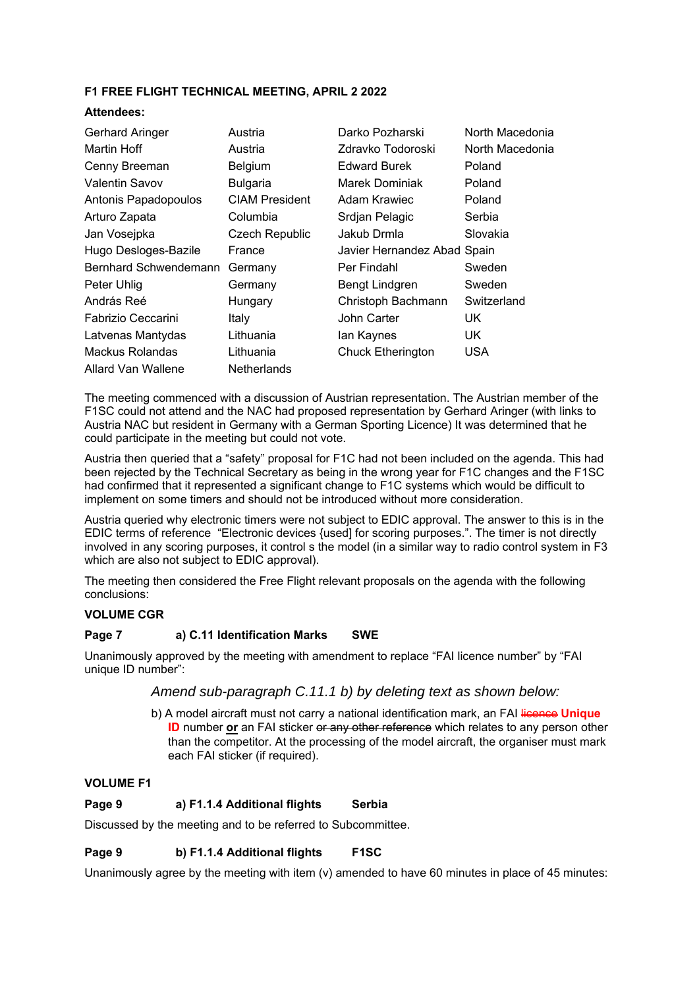# **F1 FREE FLIGHT TECHNICAL MEETING, APRIL 2 2022**

#### **Attendees:**

| Gerhard Aringer       | Austria               | Darko Pozharski             | North Macedonia |
|-----------------------|-----------------------|-----------------------------|-----------------|
| Martin Hoff           | Austria               | Zdravko Todoroski           | North Macedonia |
| Cenny Breeman         | Belgium               | <b>Edward Burek</b>         | Poland          |
| Valentin Savov        | <b>Bulgaria</b>       | Marek Dominiak              | Poland          |
| Antonis Papadopoulos  | <b>CIAM President</b> | Adam Krawiec                | Poland          |
| Arturo Zapata         | Columbia              | Srdjan Pelagic              | Serbia          |
| Jan Vosejpka          | <b>Czech Republic</b> | Jakub Drmla                 | Slovakia        |
| Hugo Desloges-Bazile  | France                | Javier Hernandez Abad Spain |                 |
| Bernhard Schwendemann | Germany               | Per Findahl                 | Sweden          |
| Peter Uhlig           | Germany               | Bengt Lindgren              | Sweden          |
| András Reé            | Hungary               | Christoph Bachmann          | Switzerland     |
| Fabrizio Ceccarini    | Italy                 | John Carter                 | UK.             |
| Latvenas Mantydas     | Lithuania             | lan Kaynes                  | UK.             |
| Mackus Rolandas       | Lithuania             | <b>Chuck Etherington</b>    | <b>USA</b>      |
| Allard Van Wallene    | Netherlands           |                             |                 |

The meeting commenced with a discussion of Austrian representation. The Austrian member of the F1SC could not attend and the NAC had proposed representation by Gerhard Aringer (with links to Austria NAC but resident in Germany with a German Sporting Licence) It was determined that he could participate in the meeting but could not vote.

Austria then queried that a "safety" proposal for F1C had not been included on the agenda. This had been rejected by the Technical Secretary as being in the wrong year for F1C changes and the F1SC had confirmed that it represented a significant change to F1C systems which would be difficult to implement on some timers and should not be introduced without more consideration.

Austria queried why electronic timers were not subject to EDIC approval. The answer to this is in the EDIC terms of reference "Electronic devices {used] for scoring purposes.". The timer is not directly involved in any scoring purposes, it control s the model (in a similar way to radio control system in F3 which are also not subject to EDIC approval).

The meeting then considered the Free Flight relevant proposals on the agenda with the following conclusions:

#### **VOLUME CGR**

## **Page 7 a) C.11 Identification Marks SWE**

Unanimously approved by the meeting with amendment to replace "FAI licence number" by "FAI unique ID number":

*Amend sub-paragraph C.11.1 b) by deleting text as shown below:* 

b) A model aircraft must not carry a national identification mark, an FAI licence Unique **ID** number **or** an FAI sticker or any other reference which relates to any person other than the competitor. At the processing of the model aircraft, the organiser must mark each FAI sticker (if required).

## **VOLUME F1**

## **Page 9 a) F1.1.4 Additional flights Serbia**

Discussed by the meeting and to be referred to Subcommittee.

## **Page 9 b) F1.1.4 Additional flights F1SC**

Unanimously agree by the meeting with item (v) amended to have 60 minutes in place of 45 minutes: